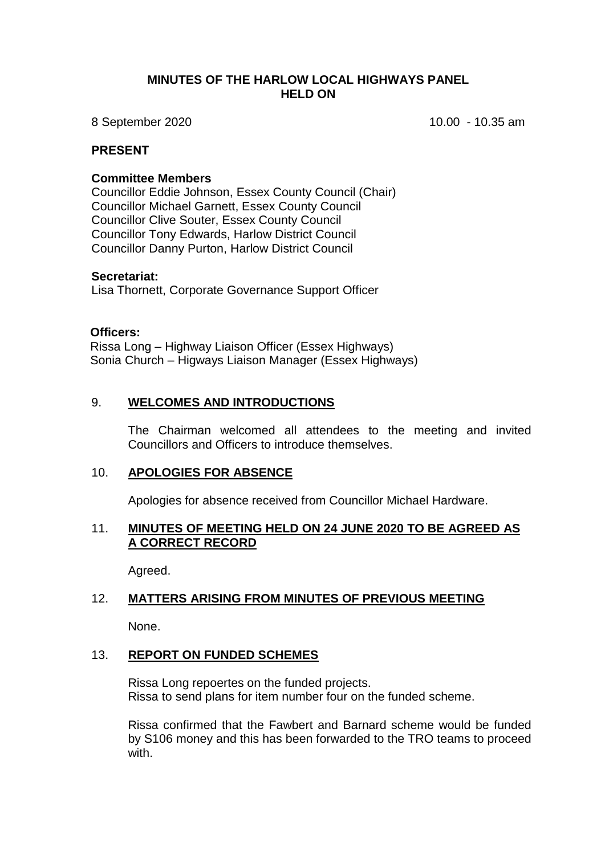## **MINUTES OF THE HARLOW LOCAL HIGHWAYS PANEL HELD ON**

8 September 2020 10.00 - 10.35 am

## **PRESENT**

#### **Committee Members**

Councillor Eddie Johnson, Essex County Council (Chair) Councillor Michael Garnett, Essex County Council Councillor Clive Souter, Essex County Council Councillor Tony Edwards, Harlow District Council Councillor Danny Purton, Harlow District Council

#### **Secretariat:**

Lisa Thornett, Corporate Governance Support Officer

#### **Officers:**

Rissa Long – Highway Liaison Officer (Essex Highways) Sonia Church – Higways Liaison Manager (Essex Highways)

## 9. **WELCOMES AND INTRODUCTIONS**

The Chairman welcomed all attendees to the meeting and invited Councillors and Officers to introduce themselves.

## 10. **APOLOGIES FOR ABSENCE**

Apologies for absence received from Councillor Michael Hardware.

### 11. **MINUTES OF MEETING HELD ON 24 JUNE 2020 TO BE AGREED AS A CORRECT RECORD**

Agreed.

### 12. **MATTERS ARISING FROM MINUTES OF PREVIOUS MEETING**

None.

## 13. **REPORT ON FUNDED SCHEMES**

Rissa Long repoertes on the funded projects. Rissa to send plans for item number four on the funded scheme.

Rissa confirmed that the Fawbert and Barnard scheme would be funded by S106 money and this has been forwarded to the TRO teams to proceed with